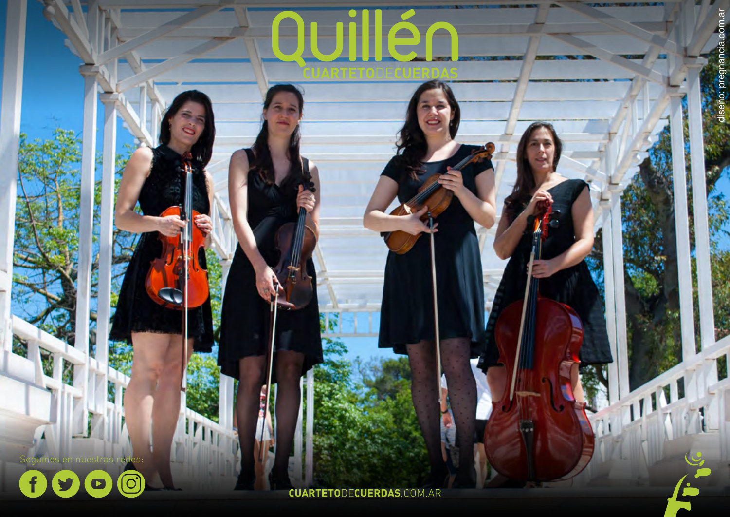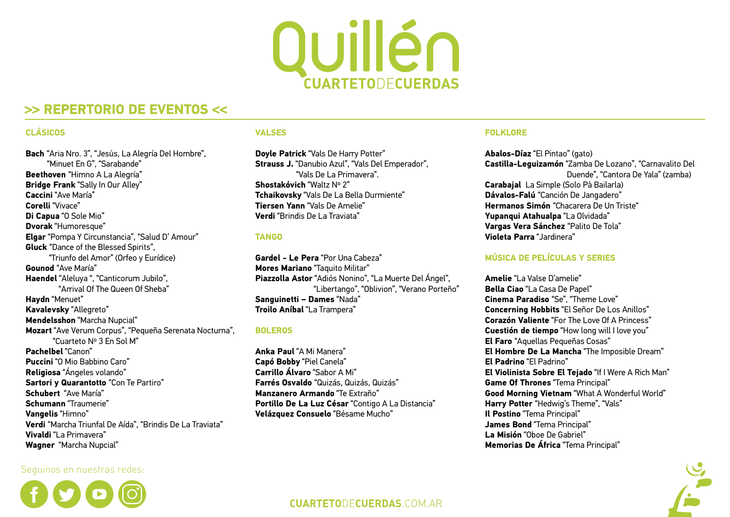

# **>> REPERTORIO DE EVENTOS <<**

### **CLÁSICOS**

its<br><sup>,</sup> Ei<br>: Sl<br>.<br>que **Bach** "Aria Nro. 3", "Jesús, La Alegría Del Hombre", "Minuet En G", "Sarabande" **Beethoven** "Himno A La Alegría" **Bridge Frank** "Sally In Our Alley" **Caccini** "Ave María" **Corelli** "Vivace" **Di Capua** "O Sole Mio" **Dvorak** "Humoresque" **Elgar** "Pompa Y Circunstancia", "Salud D' Amour" **Gluck** "Dance of the Blessed Spirits", "Triunfo del Amor" (Orfeo y Eurídice) **Gounod** "Ave María" **Haendel** "Aleluya ", "Canticorum Jubilo", "Arrival Of The Queen Of Sheba" **Haydn** "Menuet" **Kavalevsky** "Allegreto" **Mendelsshon** "Marcha Nupcial" **Mozart** "Ave Verum Corpus", "Pequeña Serenata Nocturna", "Cuarteto Nº 3 En Sol M" **Pachelbel** "Canon" **Puccini** "O Mio Babbino Caro" **Religiosa** "Ángeles volando" **Sartori y Quarantotto** "Con Te Partiro" **Schubert** "Ave María" **Schumann** "Traumerie" **Vangelis** "Himno" **Verdi** "Marcha Triunfal De Aída", "Brindis De La Traviata" **Vivaldi** "La Primavera" **Wagner** "Marcha Nupcial"

# Seguinos en nuestras redes:



### **VALSES**

**Doyle Patrick** "Vals De Harry Potter" **Strauss J.** "Danubio Azul", "Vals Del Emperador", "Vals De La Primavera". **Shostakóvich** "Waltz Nº 2" **Tchaikovsky** "Vals De La Bella Durmiente" **Tiersen Yann** "Vals De Amelie" **Verdi** "Brindis De La Traviata"

# **TANGO**

**Gardel - Le Pera** "Por Una Cabeza" **Mores Mariano** "Taquito Militar" **Piazzolla Astor** "Adiós Nonino", "La Muerte Del Ángel", "Libertango", "Oblivion", "Verano Porteño" **Sanguinetti – Dames** "Nada" **Troilo Aníbal** "La Trampera"

### **BOLEROS**

**Anka Paul** "A Mi Manera" **Capó Bobby** "Piel Canela" **Carrillo Álvaro** "Sabor A Mi" **Farrés Osvaldo** "Quizás, Quizás, Quizás" **Manzanero Armando** "Te Extraño" **Portillo De La Luz César** "Contigo A La Distancia" **Velázquez Consuelo** "Bésame Mucho"

### **FOLKLORE**

**Abalos-Díaz** "El Pintao" (gato) **Castilla-Leguizamón** "Zamba De Lozano", "Carnavalito Del Duende", "Cantora De Yala" (zamba) **Carabajal** La Simple (Solo Pà Bailarla) **Dávalos-Falú** "Canción De Jangadero" **Hermanos Simón** "Chacarera De Un Triste" **Yupanqui Atahualpa** "La Olvidada" **Vargas Vera Sánchez** "Palito De Tola" **Violeta Parra** "Jardinera"

# **MÚSICA DE PELÍCULAS Y SERIES**

**Amelie** "La Valse D'amelie" **Bella Ciao** "La Casa De Papel" **Cinema Paradiso** "Se", "Theme Love" **Concerning Hobbits** "El Señor De Los Anillos" **Corazón Valiente** "For The Love Of A Princess" **Cuestión de tiempo** "How long will I love you" **El Faro** "Aquellas Pequeñas Cosas" **El Hombre De La Mancha** "The Imposible Dream" **El Padrino** "El Padrino" **El Violinista Sobre El Tejado** "If I Were A Rich Man" **Game Of Thrones** "Tema Principal" **Good Morning Vietnam** "What A Wonderful World" **Harry Potter** "Hedwig's Theme", "Vals" **Il Postino** "Tema Principal" **James Bond** "Tema Principal" **La Misión** "Oboe De Gabriel" **Memorias De África** "Tema Principal"